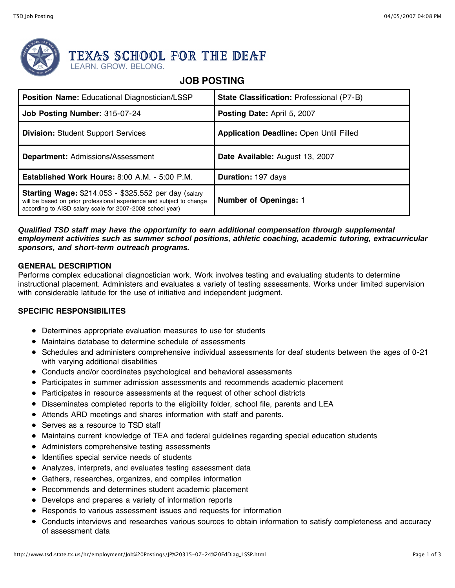

# TEXAS SCHOOL FOR THE DEAF

LEARN. GROW. BELONG.

# **JOB POSTING**

| <b>Position Name: Educational Diagnostician/LSSP</b>                                                                                                                                             | <b>State Classification: Professional (P7-B)</b> |
|--------------------------------------------------------------------------------------------------------------------------------------------------------------------------------------------------|--------------------------------------------------|
| Job Posting Number: 315-07-24                                                                                                                                                                    | <b>Posting Date: April 5, 2007</b>               |
| <b>Division: Student Support Services</b>                                                                                                                                                        | <b>Application Deadline: Open Until Filled</b>   |
| <b>Department: Admissions/Assessment</b>                                                                                                                                                         | Date Available: August 13, 2007                  |
| <b>Established Work Hours: 8:00 A.M. - 5:00 P.M.</b>                                                                                                                                             | Duration: 197 days                               |
| <b>Starting Wage: \$214.053 - \$325.552 per day (salary</b><br>will be based on prior professional experience and subject to change<br>according to AISD salary scale for 2007-2008 school year) | <b>Number of Openings: 1</b>                     |

### **Qualified TSD staff may have the opportunity to earn additional compensation through supplemental employment activities such as summer school positions, athletic coaching, academic tutoring, extracurricular sponsors, and short-term outreach programs.**

# **GENERAL DESCRIPTION**

Performs complex educational diagnostician work. Work involves testing and evaluating students to determine instructional placement. Administers and evaluates a variety of testing assessments. Works under limited supervision with considerable latitude for the use of initiative and independent judgment.

# **SPECIFIC RESPONSIBILITES**

- Determines appropriate evaluation measures to use for students
- Maintains database to determine schedule of assessments
- Schedules and administers comprehensive individual assessments for deaf students between the ages of 0-21 with varying additional disabilities
- Conducts and/or coordinates psychological and behavioral assessments
- Participates in summer admission assessments and recommends academic placement
- Participates in resource assessments at the request of other school districts
- Disseminates completed reports to the eligibility folder, school file, parents and LEA
- Attends ARD meetings and shares information with staff and parents.
- Serves as a resource to TSD staff
- Maintains current knowledge of TEA and federal guidelines regarding special education students
- Administers comprehensive testing assessments
- Identifies special service needs of students
- Analyzes, interprets, and evaluates testing assessment data
- Gathers, researches, organizes, and compiles information
- Recommends and determines student academic placement
- Develops and prepares a variety of information reports
- Responds to various assessment issues and requests for information
- Conducts interviews and researches various sources to obtain information to satisfy completeness and accuracy of assessment data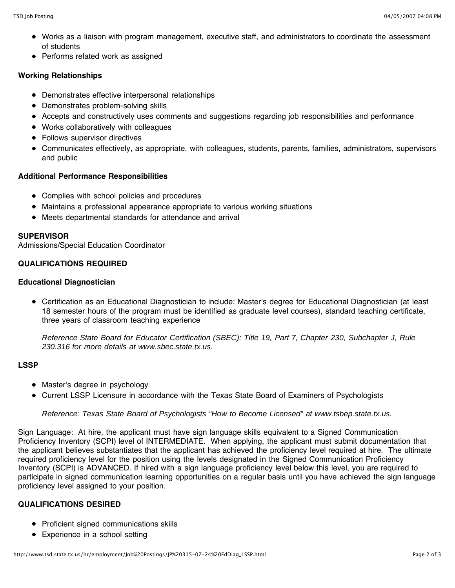- Works as a liaison with program management, executive staff, and administrators to coordinate the assessment of students
- Performs related work as assigned

# **Working Relationships**

- Demonstrates effective interpersonal relationships
- Demonstrates problem-solving skills
- Accepts and constructively uses comments and suggestions regarding job responsibilities and performance
- Works collaboratively with colleagues
- Follows supervisor directives
- Communicates effectively, as appropriate, with colleagues, students, parents, families, administrators, supervisors and public

# **Additional Performance Responsibilities**

- Complies with school policies and procedures
- Maintains a professional appearance appropriate to various working situations
- Meets departmental standards for attendance and arrival

#### **SUPERVISOR**

Admissions/Special Education Coordinator

# **QUALIFICATIONS REQUIRED**

#### **Educational Diagnostician**

Certification as an Educational Diagnostician to include: Master's degree for Educational Diagnostician (at least 18 semester hours of the program must be identified as graduate level courses), standard teaching certificate, three years of classroom teaching experience

Reference State Board for Educator Certification (SBEC): Title 19, Part 7, Chapter 230, Subchapter J, Rule 230.316 for more details at www.sbec.state.tx.us.

# **LSSP**

- Master's degree in psychology
- Current LSSP Licensure in accordance with the Texas State Board of Examiners of Psychologists

#### Reference: Texas State Board of Psychologists "How to Become Licensed" at www.tsbep.state.tx.us.

Sign Language: At hire, the applicant must have sign language skills equivalent to a Signed Communication Proficiency Inventory (SCPI) level of INTERMEDIATE. When applying, the applicant must submit documentation that the applicant believes substantiates that the applicant has achieved the proficiency level required at hire. The ultimate required proficiency level for the position using the levels designated in the Signed Communication Proficiency Inventory (SCPI) is ADVANCED. If hired with a sign language proficiency level below this level, you are required to participate in signed communication learning opportunities on a regular basis until you have achieved the sign language proficiency level assigned to your position.

# **QUALIFICATIONS DESIRED**

- Proficient signed communications skills
- Experience in a school setting